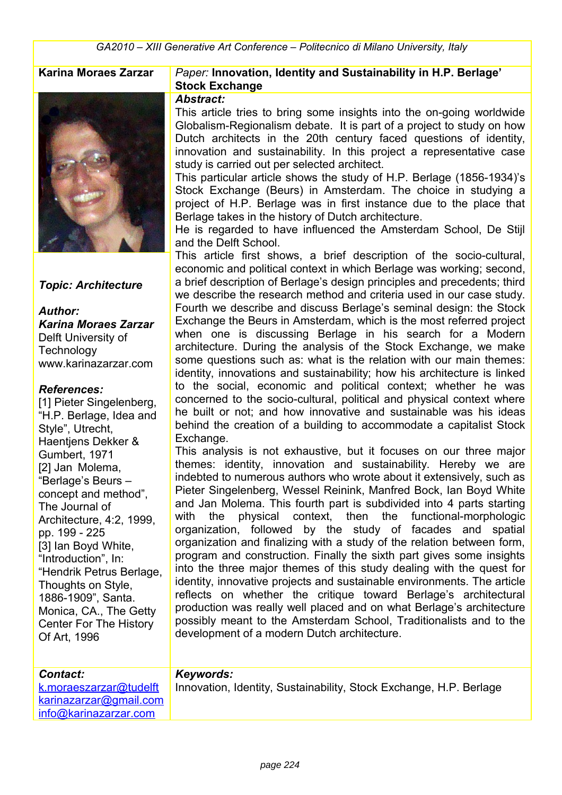

#### *Topic: Architecture*

*Author: Karina Moraes Zarzar* Delft University of **Technology** www.karinazarzar.com

#### *References:*

[1] Pieter Singelenberg, "H.P. Berlage, Idea and Style", Utrecht, Haentiens Dekker & Gumbert, 1971 [2] Jan Molema, "Berlage's Beurs – concept and method", The Journal of Architecture, 4:2, 1999, pp. 199 - 225 [3] Ian Boyd White, "Introduction", In: "Hendrik Petrus Berlage, Thoughts on Style, 1886-1909", Santa. Monica, CA., The Getty Center For The History Of Art, 1996

#### **Karina Moraes Zarzar** *Paper:* **Innovation, Identity and Sustainability in H.P. Berlage' Stock Exchange**

#### *Abstract:*

This article tries to bring some insights into the on-going worldwide Globalism-Regionalism debate. It is part of a project to study on how Dutch architects in the 20th century faced questions of identity, innovation and sustainability. In this project a representative case study is carried out per selected architect.

This particular article shows the study of H.P. Berlage (1856-1934)'s Stock Exchange (Beurs) in Amsterdam. The choice in studying a project of H.P. Berlage was in first instance due to the place that Berlage takes in the history of Dutch architecture.

He is regarded to have influenced the Amsterdam School, De Stijl and the Delft School.

This article first shows, a brief description of the socio-cultural, economic and political context in which Berlage was working; second, a brief description of Berlage's design principles and precedents; third we describe the research method and criteria used in our case study. Fourth we describe and discuss Berlage's seminal design: the Stock Exchange the Beurs in Amsterdam, which is the most referred project when one is discussing Berlage in his search for a Modern architecture. During the analysis of the Stock Exchange, we make some questions such as: what is the relation with our main themes: identity, innovations and sustainability; how his architecture is linked to the social, economic and political context; whether he was concerned to the socio-cultural, political and physical context where he built or not; and how innovative and sustainable was his ideas behind the creation of a building to accommodate a capitalist Stock Exchange.

This analysis is not exhaustive, but it focuses on our three major themes: identity, innovation and sustainability. Hereby we are indebted to numerous authors who wrote about it extensively, such as Pieter Singelenberg, Wessel Reinink, Manfred Bock, Ian Boyd White and Jan Molema. This fourth part is subdivided into 4 parts starting with the physical context, then the functional-morphologic organization, followed by the study of facades and spatial organization and finalizing with a study of the relation between form, program and construction. Finally the sixth part gives some insights into the three major themes of this study dealing with the quest for identity, innovative projects and sustainable environments. The article reflects on whether the critique toward Berlage's architectural production was really well placed and on what Berlage's architecture possibly meant to the Amsterdam School, Traditionalists and to the development of a modern Dutch architecture.

| <b>Contact:</b>        | Keywords:                                                          |
|------------------------|--------------------------------------------------------------------|
| k.moraeszarzar@tudelft | Innovation, Identity, Sustainability, Stock Exchange, H.P. Berlage |
| karinazarzar@gmail.com |                                                                    |
| info@karinazarzar.com  |                                                                    |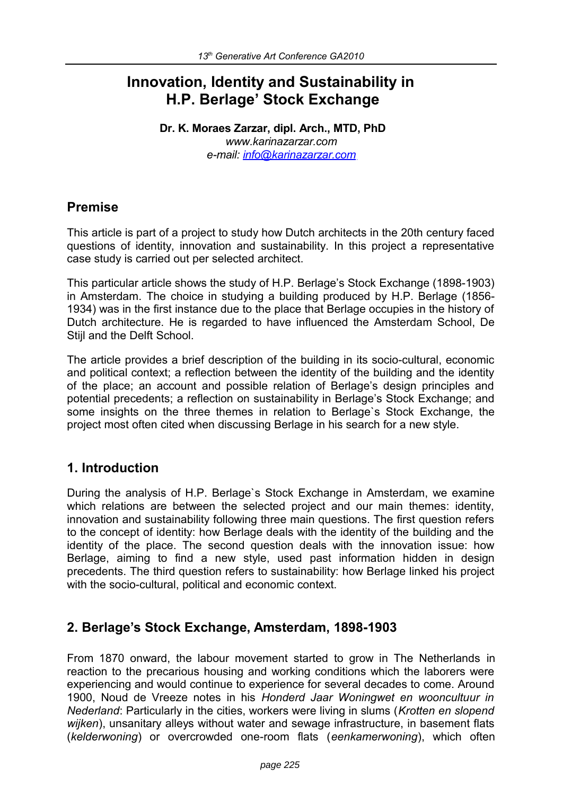# **Innovation, Identity and Sustainability in H.P. Berlage' Stock Exchange**

**Dr. K. Moraes Zarzar, dipl. Arch., MTD, PhD** *www.karinazarzar.com e-mail: [info@karinazarzar.com](mailto:info@karinazarzar.com)* 

## **Premise**

This article is part of a project to study how Dutch architects in the 20th century faced questions of identity, innovation and sustainability. In this project a representative case study is carried out per selected architect.

This particular article shows the study of H.P. Berlage's Stock Exchange (1898-1903) in Amsterdam. The choice in studying a building produced by H.P. Berlage (1856- 1934) was in the first instance due to the place that Berlage occupies in the history of Dutch architecture. He is regarded to have influenced the Amsterdam School, De Stijl and the Delft School.

The article provides a brief description of the building in its socio-cultural, economic and political context; a reflection between the identity of the building and the identity of the place; an account and possible relation of Berlage's design principles and potential precedents; a reflection on sustainability in Berlage's Stock Exchange; and some insights on the three themes in relation to Berlage`s Stock Exchange, the project most often cited when discussing Berlage in his search for a new style.

## **1. Introduction**

During the analysis of H.P. Berlage`s Stock Exchange in Amsterdam, we examine which relations are between the selected project and our main themes: identity, innovation and sustainability following three main questions. The first question refers to the concept of identity: how Berlage deals with the identity of the building and the identity of the place. The second question deals with the innovation issue: how Berlage, aiming to find a new style, used past information hidden in design precedents. The third question refers to sustainability: how Berlage linked his project with the socio-cultural, political and economic context.

## **2. Berlage's Stock Exchange, Amsterdam, 1898-1903**

From 1870 onward, the labour movement started to grow in The Netherlands in reaction to the precarious housing and working conditions which the laborers were experiencing and would continue to experience for several decades to come. Around 1900, Noud de Vreeze notes in his *Honderd Jaar Woningwet en wooncultuur in Nederland*: Particularly in the cities, workers were living in slums (*Krotten en slopend wijken*), unsanitary alleys without water and sewage infrastructure, in basement flats (*kelderwoning*) or overcrowded one-room flats (*eenkamerwoning*), which often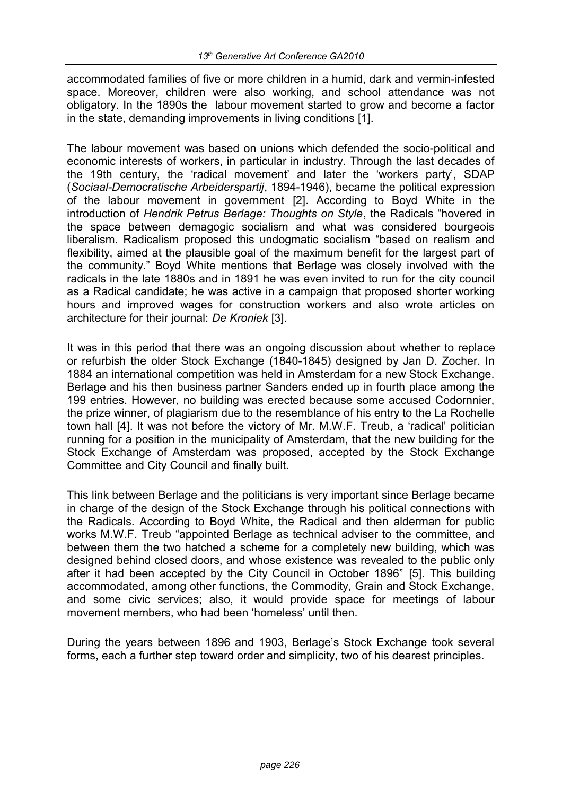accommodated families of five or more children in a humid, dark and vermin-infested space. Moreover, children were also working, and school attendance was not obligatory. In the 1890s the labour movement started to grow and become a factor in the state, demanding improvements in living conditions [1].

The labour movement was based on unions which defended the socio-political and economic interests of workers, in particular in industry. Through the last decades of the 19th century, the 'radical movement' and later the 'workers party', SDAP (*Sociaal-Democratische Arbeiderspartij*, 1894-1946), became the political expression of the labour movement in government [2]. According to Boyd White in the introduction of *Hendrik Petrus Berlage: Thoughts on Style*, the Radicals "hovered in the space between demagogic socialism and what was considered bourgeois liberalism. Radicalism proposed this undogmatic socialism "based on realism and flexibility, aimed at the plausible goal of the maximum benefit for the largest part of the community." Boyd White mentions that Berlage was closely involved with the radicals in the late 1880s and in 1891 he was even invited to run for the city council as a Radical candidate; he was active in a campaign that proposed shorter working hours and improved wages for construction workers and also wrote articles on architecture for their journal: *De Kroniek* [3].

It was in this period that there was an ongoing discussion about whether to replace or refurbish the older Stock Exchange (1840-1845) designed by Jan D. Zocher. In 1884 an international competition was held in Amsterdam for a new Stock Exchange. Berlage and his then business partner Sanders ended up in fourth place among the 199 entries. However, no building was erected because some accused Codornnier, the prize winner, of plagiarism due to the resemblance of his entry to the La Rochelle town hall [4]. It was not before the victory of Mr. M.W.F. Treub, a 'radical' politician running for a position in the municipality of Amsterdam, that the new building for the Stock Exchange of Amsterdam was proposed, accepted by the Stock Exchange Committee and City Council and finally built.

This link between Berlage and the politicians is very important since Berlage became in charge of the design of the Stock Exchange through his political connections with the Radicals. According to Boyd White, the Radical and then alderman for public works M.W.F. Treub "appointed Berlage as technical adviser to the committee, and between them the two hatched a scheme for a completely new building, which was designed behind closed doors, and whose existence was revealed to the public only after it had been accepted by the City Council in October 1896" [5]. This building accommodated, among other functions, the Commodity, Grain and Stock Exchange, and some civic services; also, it would provide space for meetings of labour movement members, who had been 'homeless' until then.

During the years between 1896 and 1903, Berlage's Stock Exchange took several forms, each a further step toward order and simplicity, two of his dearest principles.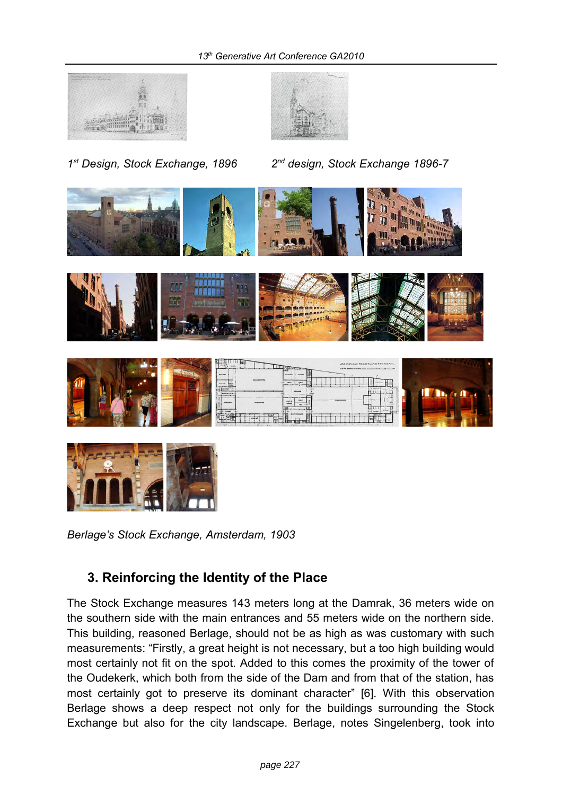



*1 st Design, Stock Exchange, 1896 2nd design, Stock Exchange 1896-7* 









*Berlage's Stock Exchange, Amsterdam, 1903*

## **3. Reinforcing the Identity of the Place**

The Stock Exchange measures 143 meters long at the Damrak, 36 meters wide on the southern side with the main entrances and 55 meters wide on the northern side. This building, reasoned Berlage, should not be as high as was customary with such measurements: "Firstly, a great height is not necessary, but a too high building would most certainly not fit on the spot. Added to this comes the proximity of the tower of the Oudekerk, which both from the side of the Dam and from that of the station, has most certainly got to preserve its dominant character" [6]. With this observation Berlage shows a deep respect not only for the buildings surrounding the Stock Exchange but also for the city landscape. Berlage, notes Singelenberg, took into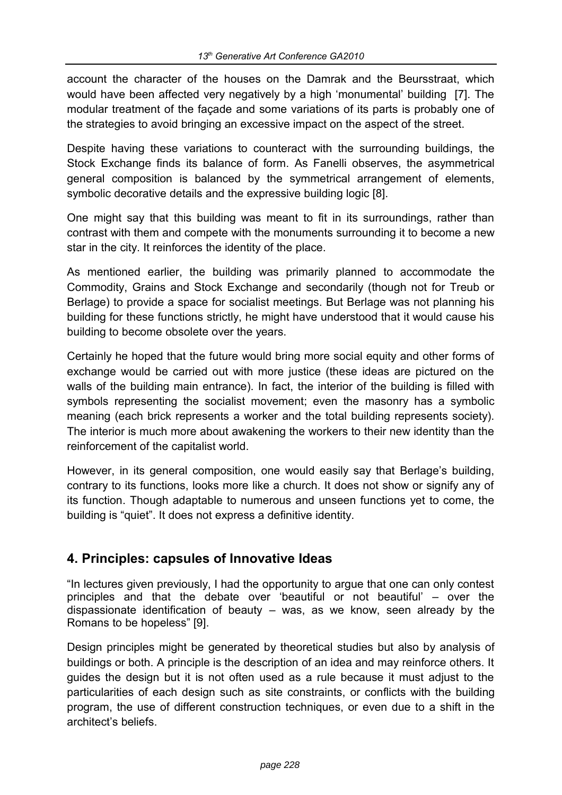account the character of the houses on the Damrak and the Beursstraat, which would have been affected very negatively by a high 'monumental' building [7]. The modular treatment of the façade and some variations of its parts is probably one of the strategies to avoid bringing an excessive impact on the aspect of the street.

Despite having these variations to counteract with the surrounding buildings, the Stock Exchange finds its balance of form. As Fanelli observes, the asymmetrical general composition is balanced by the symmetrical arrangement of elements, symbolic decorative details and the expressive building logic [8].

One might say that this building was meant to fit in its surroundings, rather than contrast with them and compete with the monuments surrounding it to become a new star in the city. It reinforces the identity of the place.

As mentioned earlier, the building was primarily planned to accommodate the Commodity, Grains and Stock Exchange and secondarily (though not for Treub or Berlage) to provide a space for socialist meetings. But Berlage was not planning his building for these functions strictly, he might have understood that it would cause his building to become obsolete over the years.

Certainly he hoped that the future would bring more social equity and other forms of exchange would be carried out with more justice (these ideas are pictured on the walls of the building main entrance). In fact, the interior of the building is filled with symbols representing the socialist movement; even the masonry has a symbolic meaning (each brick represents a worker and the total building represents society). The interior is much more about awakening the workers to their new identity than the reinforcement of the capitalist world.

However, in its general composition, one would easily say that Berlage's building, contrary to its functions, looks more like a church. It does not show or signify any of its function. Though adaptable to numerous and unseen functions yet to come, the building is "quiet". It does not express a definitive identity.

## **4. Principles: capsules of Innovative Ideas**

"In lectures given previously, I had the opportunity to argue that one can only contest principles and that the debate over 'beautiful or not beautiful' – over the dispassionate identification of beauty – was, as we know, seen already by the Romans to be hopeless" [9].

Design principles might be generated by theoretical studies but also by analysis of buildings or both. A principle is the description of an idea and may reinforce others. It guides the design but it is not often used as a rule because it must adjust to the particularities of each design such as site constraints, or conflicts with the building program, the use of different construction techniques, or even due to a shift in the architect's beliefs.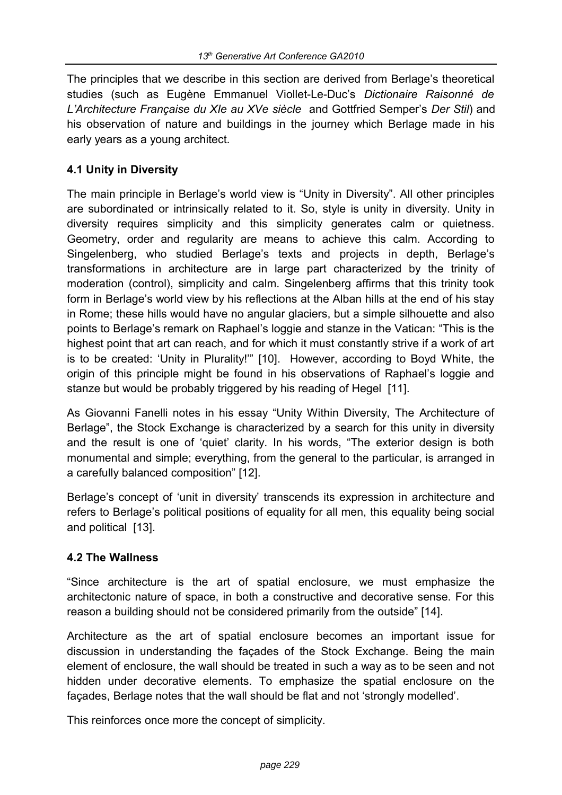The principles that we describe in this section are derived from Berlage's theoretical studies (such as Eugène Emmanuel Viollet-Le-Duc's *Dictionaire Raisonné de L'Architecture Française du XIe au XVe siècle* and Gottfried Semper's *Der Stil*) and his observation of nature and buildings in the journey which Berlage made in his early years as a young architect.

#### **4.1 Unity in Diversity**

The main principle in Berlage's world view is "Unity in Diversity". All other principles are subordinated or intrinsically related to it. So, style is unity in diversity. Unity in diversity requires simplicity and this simplicity generates calm or quietness. Geometry, order and regularity are means to achieve this calm. According to Singelenberg, who studied Berlage's texts and projects in depth, Berlage's transformations in architecture are in large part characterized by the trinity of moderation (control), simplicity and calm. Singelenberg affirms that this trinity took form in Berlage's world view by his reflections at the Alban hills at the end of his stay in Rome; these hills would have no angular glaciers, but a simple silhouette and also points to Berlage's remark on Raphael's loggie and stanze in the Vatican: "This is the highest point that art can reach, and for which it must constantly strive if a work of art is to be created: 'Unity in Plurality!'" [10]. However, according to Boyd White, the origin of this principle might be found in his observations of Raphael's loggie and stanze but would be probably triggered by his reading of Hegel [11].

As Giovanni Fanelli notes in his essay "Unity Within Diversity, The Architecture of Berlage", the Stock Exchange is characterized by a search for this unity in diversity and the result is one of 'quiet' clarity. In his words, "The exterior design is both monumental and simple; everything, from the general to the particular, is arranged in a carefully balanced composition" [12].

Berlage's concept of 'unit in diversity' transcends its expression in architecture and refers to Berlage's political positions of equality for all men, this equality being social and political [13].

#### **4.2 The Wallness**

"Since architecture is the art of spatial enclosure, we must emphasize the architectonic nature of space, in both a constructive and decorative sense. For this reason a building should not be considered primarily from the outside" [14].

Architecture as the art of spatial enclosure becomes an important issue for discussion in understanding the façades of the Stock Exchange. Being the main element of enclosure, the wall should be treated in such a way as to be seen and not hidden under decorative elements. To emphasize the spatial enclosure on the façades, Berlage notes that the wall should be flat and not 'strongly modelled'.

This reinforces once more the concept of simplicity.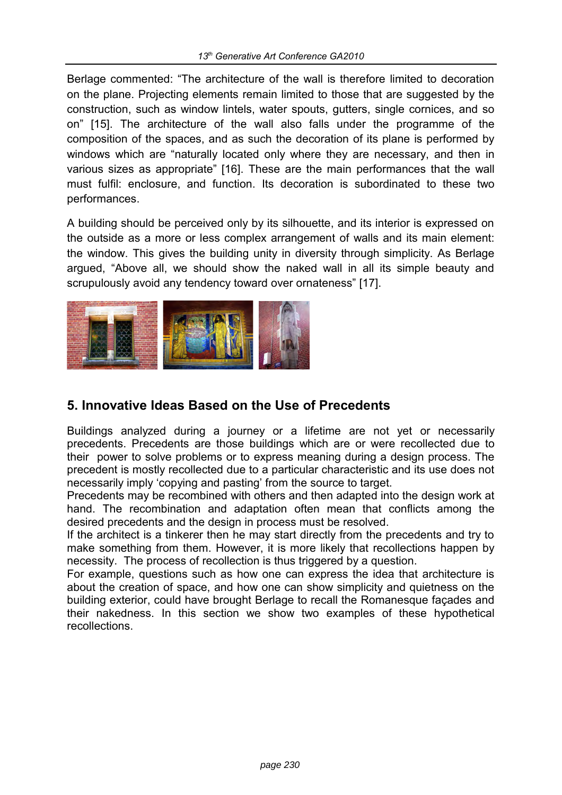Berlage commented: "The architecture of the wall is therefore limited to decoration on the plane. Projecting elements remain limited to those that are suggested by the construction, such as window lintels, water spouts, gutters, single cornices, and so on" [15]. The architecture of the wall also falls under the programme of the composition of the spaces, and as such the decoration of its plane is performed by windows which are "naturally located only where they are necessary, and then in various sizes as appropriate" [16]. These are the main performances that the wall must fulfil: enclosure, and function. Its decoration is subordinated to these two performances.

A building should be perceived only by its silhouette, and its interior is expressed on the outside as a more or less complex arrangement of walls and its main element: the window. This gives the building unity in diversity through simplicity. As Berlage argued, "Above all, we should show the naked wall in all its simple beauty and scrupulously avoid any tendency toward over ornateness" [17].



## **5. Innovative Ideas Based on the Use of Precedents**

Buildings analyzed during a journey or a lifetime are not yet or necessarily precedents. Precedents are those buildings which are or were recollected due to their power to solve problems or to express meaning during a design process. The precedent is mostly recollected due to a particular characteristic and its use does not necessarily imply 'copying and pasting' from the source to target.

Precedents may be recombined with others and then adapted into the design work at hand. The recombination and adaptation often mean that conflicts among the desired precedents and the design in process must be resolved.

If the architect is a tinkerer then he may start directly from the precedents and try to make something from them. However, it is more likely that recollections happen by necessity. The process of recollection is thus triggered by a question.

For example, questions such as how one can express the idea that architecture is about the creation of space, and how one can show simplicity and quietness on the building exterior, could have brought Berlage to recall the Romanesque façades and their nakedness. In this section we show two examples of these hypothetical recollections.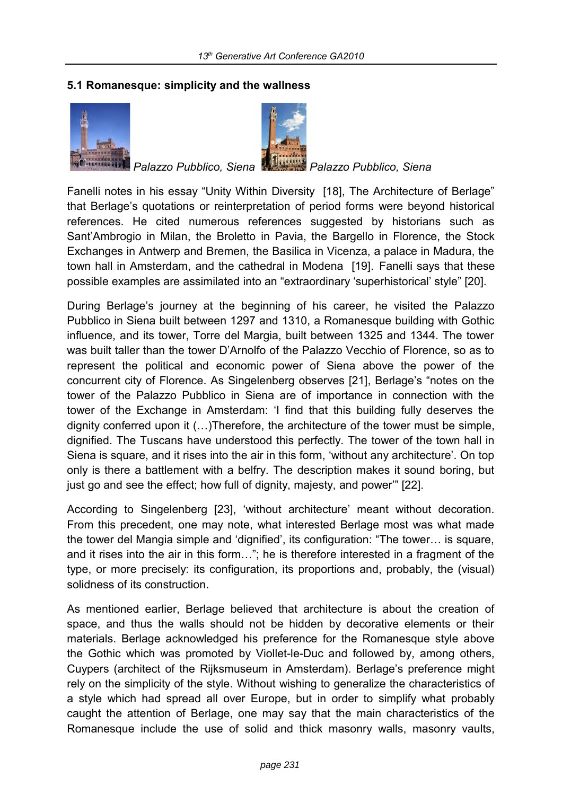#### **5.1 Romanesque: simplicity and the wallness**





*Palazzo Pubblico, Siena Palazzo Pubblico, Siena*

Fanelli notes in his essay "Unity Within Diversity [18], The Architecture of Berlage" that Berlage's quotations or reinterpretation of period forms were beyond historical references. He cited numerous references suggested by historians such as Sant'Ambrogio in Milan, the Broletto in Pavia, the Bargello in Florence, the Stock Exchanges in Antwerp and Bremen, the Basilica in Vicenza, a palace in Madura, the town hall in Amsterdam, and the cathedral in Modena [19]. Fanelli says that these possible examples are assimilated into an "extraordinary 'superhistorical' style" [20].

During Berlage's journey at the beginning of his career, he visited the Palazzo Pubblico in Siena built between 1297 and 1310, a Romanesque building with Gothic influence, and its tower, Torre del Margia, built between 1325 and 1344. The tower was built taller than the tower D'Arnolfo of the Palazzo Vecchio of Florence, so as to represent the political and economic power of Siena above the power of the concurrent city of Florence. As Singelenberg observes [21], Berlage's "notes on the tower of the Palazzo Pubblico in Siena are of importance in connection with the tower of the Exchange in Amsterdam: 'I find that this building fully deserves the dignity conferred upon it (…)Therefore, the architecture of the tower must be simple, dignified. The Tuscans have understood this perfectly. The tower of the town hall in Siena is square, and it rises into the air in this form, 'without any architecture'. On top only is there a battlement with a belfry. The description makes it sound boring, but just go and see the effect; how full of dignity, majesty, and power'" [22].

According to Singelenberg [23], 'without architecture' meant without decoration. From this precedent, one may note, what interested Berlage most was what made the tower del Mangia simple and 'dignified', its configuration: "The tower… is square, and it rises into the air in this form…"; he is therefore interested in a fragment of the type, or more precisely: its configuration, its proportions and, probably, the (visual) solidness of its construction.

As mentioned earlier, Berlage believed that architecture is about the creation of space, and thus the walls should not be hidden by decorative elements or their materials. Berlage acknowledged his preference for the Romanesque style above the Gothic which was promoted by Viollet-le-Duc and followed by, among others, Cuypers (architect of the Rijksmuseum in Amsterdam). Berlage's preference might rely on the simplicity of the style. Without wishing to generalize the characteristics of a style which had spread all over Europe, but in order to simplify what probably caught the attention of Berlage, one may say that the main characteristics of the Romanesque include the use of solid and thick masonry walls, masonry vaults,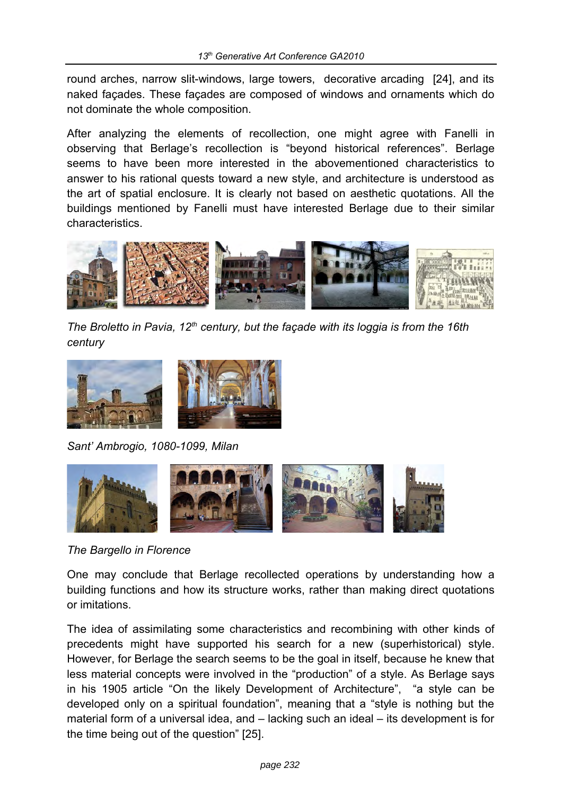round arches, narrow slit-windows, large towers, decorative arcading [24], and its naked façades. These façades are composed of windows and ornaments which do not dominate the whole composition.

After analyzing the elements of recollection, one might agree with Fanelli in observing that Berlage's recollection is "beyond historical references". Berlage seems to have been more interested in the abovementioned characteristics to answer to his rational quests toward a new style, and architecture is understood as the art of spatial enclosure. It is clearly not based on aesthetic quotations. All the buildings mentioned by Fanelli must have interested Berlage due to their similar characteristics.



*The Broletto in Pavia, 12th century, but the façade with its loggia is from the 16th century*



*Sant' Ambrogio, 1080-1099, Milan*



*The Bargello in Florence*

One may conclude that Berlage recollected operations by understanding how a building functions and how its structure works, rather than making direct quotations or imitations.

The idea of assimilating some characteristics and recombining with other kinds of precedents might have supported his search for a new (superhistorical) style. However, for Berlage the search seems to be the goal in itself, because he knew that less material concepts were involved in the "production" of a style. As Berlage says in his 1905 article "On the likely Development of Architecture", "a style can be developed only on a spiritual foundation", meaning that a "style is nothing but the material form of a universal idea, and – lacking such an ideal – its development is for the time being out of the question" [25].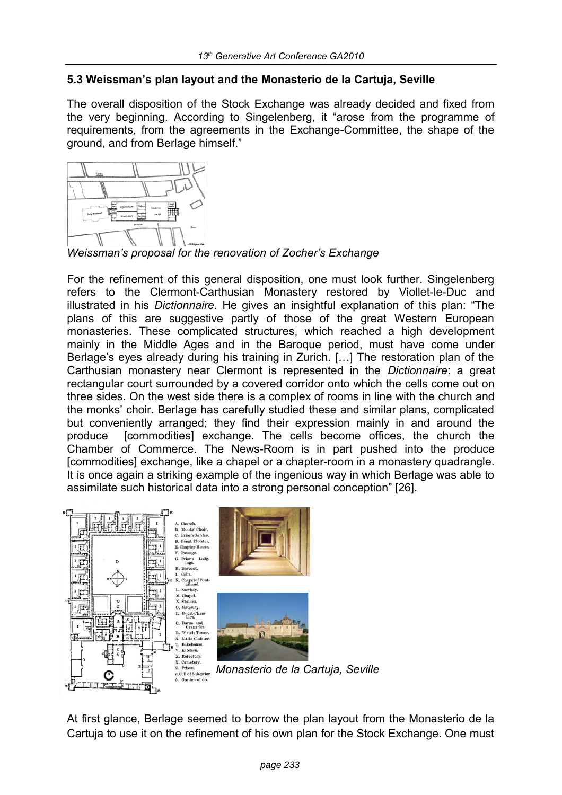#### **5.3 Weissman's plan layout and the Monasterio de la Cartuja, Seville**

The overall disposition of the Stock Exchange was already decided and fixed from the very beginning. According to Singelenberg, it "arose from the programme of requirements, from the agreements in the Exchange-Committee, the shape of the ground, and from Berlage himself."



*Weissman's proposal for the renovation of Zocher's Exchange*

For the refinement of this general disposition, one must look further. Singelenberg refers to the Clermont-Carthusian Monastery restored by Viollet-le-Duc and illustrated in his *Dictionnaire*. He gives an insightful explanation of this plan: "The plans of this are suggestive partly of those of the great Western European monasteries. These complicated structures, which reached a high development mainly in the Middle Ages and in the Baroque period, must have come under Berlage's eyes already during his training in Zurich. […] The restoration plan of the Carthusian monastery near Clermont is represented in the *Dictionnaire*: a great rectangular court surrounded by a covered corridor onto which the cells come out on three sides. On the west side there is a complex of rooms in line with the church and the monks' choir. Berlage has carefully studied these and similar plans, complicated but conveniently arranged; they find their expression mainly in and around the produce [commodities] exchange. The cells become offices, the church the Chamber of Commerce. The News-Room is in part pushed into the produce [commodities] exchange, like a chapel or a chapter-room in a monastery quadrangle. It is once again a striking example of the ingenious way in which Berlage was able to assimilate such historical data into a strong personal conception" [26].



*Monasterio de la Cartuja, Seville*

At first glance, Berlage seemed to borrow the plan layout from the Monasterio de la Cartuja to use it on the refinement of his own plan for the Stock Exchange. One must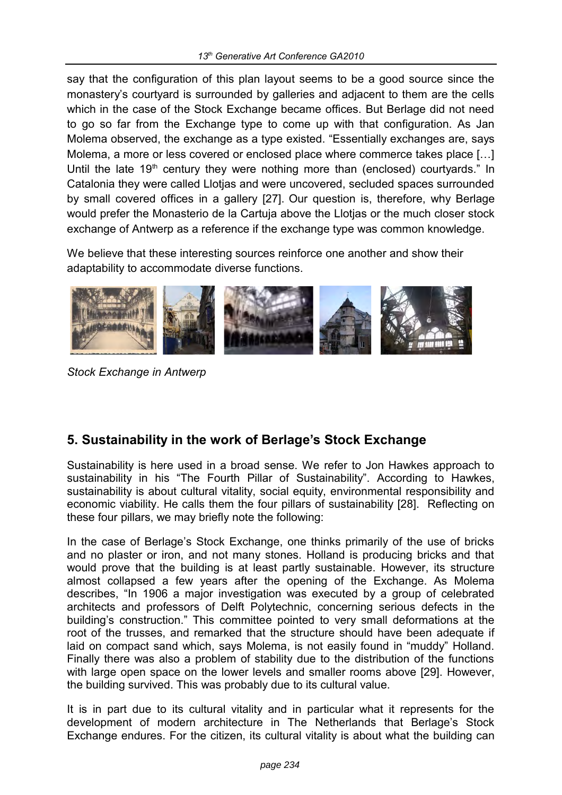say that the configuration of this plan layout seems to be a good source since the monastery's courtyard is surrounded by galleries and adjacent to them are the cells which in the case of the Stock Exchange became offices. But Berlage did not need to go so far from the Exchange type to come up with that configuration. As Jan Molema observed, the exchange as a type existed. "Essentially exchanges are, says Molema, a more or less covered or enclosed place where commerce takes place […] Until the late  $19<sup>th</sup>$  century they were nothing more than (enclosed) courtyards." In Catalonia they were called Llotjas and were uncovered, secluded spaces surrounded by small covered offices in a gallery [27]. Our question is, therefore, why Berlage would prefer the Monasterio de la Cartuja above the Llotjas or the much closer stock exchange of Antwerp as a reference if the exchange type was common knowledge.

We believe that these interesting sources reinforce one another and show their adaptability to accommodate diverse functions.



*Stock Exchange in Antwerp* 

## **5. Sustainability in the work of Berlage's Stock Exchange**

Sustainability is here used in a broad sense. We refer to Jon Hawkes approach to sustainability in his "The Fourth Pillar of Sustainability". According to Hawkes, sustainability is about cultural vitality, social equity, environmental responsibility and economic viability. He calls them the four pillars of sustainability [28]. Reflecting on these four pillars, we may briefly note the following:

In the case of Berlage's Stock Exchange, one thinks primarily of the use of bricks and no plaster or iron, and not many stones. Holland is producing bricks and that would prove that the building is at least partly sustainable. However, its structure almost collapsed a few years after the opening of the Exchange. As Molema describes, "In 1906 a major investigation was executed by a group of celebrated architects and professors of Delft Polytechnic, concerning serious defects in the building's construction." This committee pointed to very small deformations at the root of the trusses, and remarked that the structure should have been adequate if laid on compact sand which, says Molema, is not easily found in "muddy" Holland. Finally there was also a problem of stability due to the distribution of the functions with large open space on the lower levels and smaller rooms above [29]. However, the building survived. This was probably due to its cultural value.

It is in part due to its cultural vitality and in particular what it represents for the development of modern architecture in The Netherlands that Berlage's Stock Exchange endures. For the citizen, its cultural vitality is about what the building can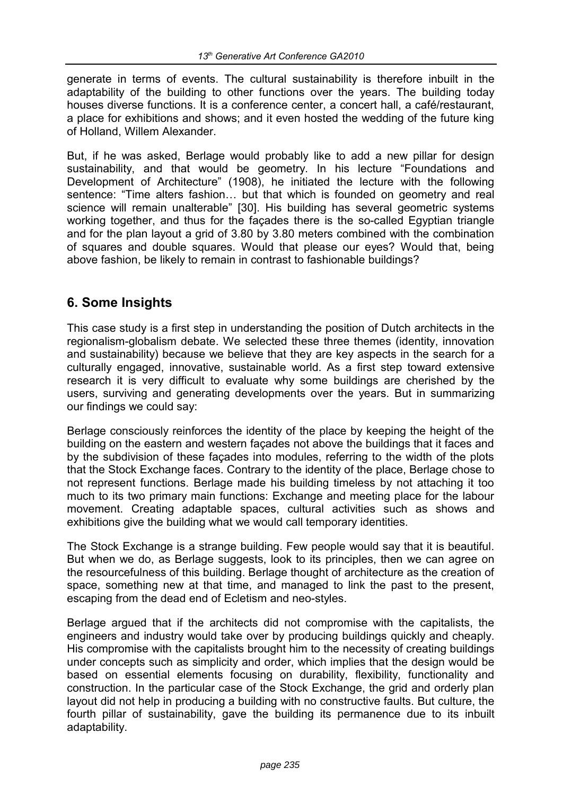generate in terms of events. The cultural sustainability is therefore inbuilt in the adaptability of the building to other functions over the years. The building today houses diverse functions. It is a conference center, a concert hall, a café/restaurant, a place for exhibitions and shows; and it even hosted the wedding of the future king of Holland, Willem Alexander.

But, if he was asked. Berlage would probably like to add a new pillar for design sustainability, and that would be geometry. In his lecture "Foundations and Development of Architecture" (1908), he initiated the lecture with the following sentence: "Time alters fashion… but that which is founded on geometry and real science will remain unalterable" [30]. His building has several geometric systems working together, and thus for the façades there is the so-called Egyptian triangle and for the plan layout a grid of 3.80 by 3.80 meters combined with the combination of squares and double squares. Would that please our eyes? Would that, being above fashion, be likely to remain in contrast to fashionable buildings?

### **6. Some Insights**

This case study is a first step in understanding the position of Dutch architects in the regionalism-globalism debate. We selected these three themes (identity, innovation and sustainability) because we believe that they are key aspects in the search for a culturally engaged, innovative, sustainable world. As a first step toward extensive research it is very difficult to evaluate why some buildings are cherished by the users, surviving and generating developments over the years. But in summarizing our findings we could say:

Berlage consciously reinforces the identity of the place by keeping the height of the building on the eastern and western façades not above the buildings that it faces and by the subdivision of these façades into modules, referring to the width of the plots that the Stock Exchange faces. Contrary to the identity of the place, Berlage chose to not represent functions. Berlage made his building timeless by not attaching it too much to its two primary main functions: Exchange and meeting place for the labour movement. Creating adaptable spaces, cultural activities such as shows and exhibitions give the building what we would call temporary identities.

The Stock Exchange is a strange building. Few people would say that it is beautiful. But when we do, as Berlage suggests, look to its principles, then we can agree on the resourcefulness of this building. Berlage thought of architecture as the creation of space, something new at that time, and managed to link the past to the present, escaping from the dead end of Ecletism and neo-styles.

Berlage argued that if the architects did not compromise with the capitalists, the engineers and industry would take over by producing buildings quickly and cheaply. His compromise with the capitalists brought him to the necessity of creating buildings under concepts such as simplicity and order, which implies that the design would be based on essential elements focusing on durability, flexibility, functionality and construction. In the particular case of the Stock Exchange, the grid and orderly plan layout did not help in producing a building with no constructive faults. But culture, the fourth pillar of sustainability, gave the building its permanence due to its inbuilt adaptability.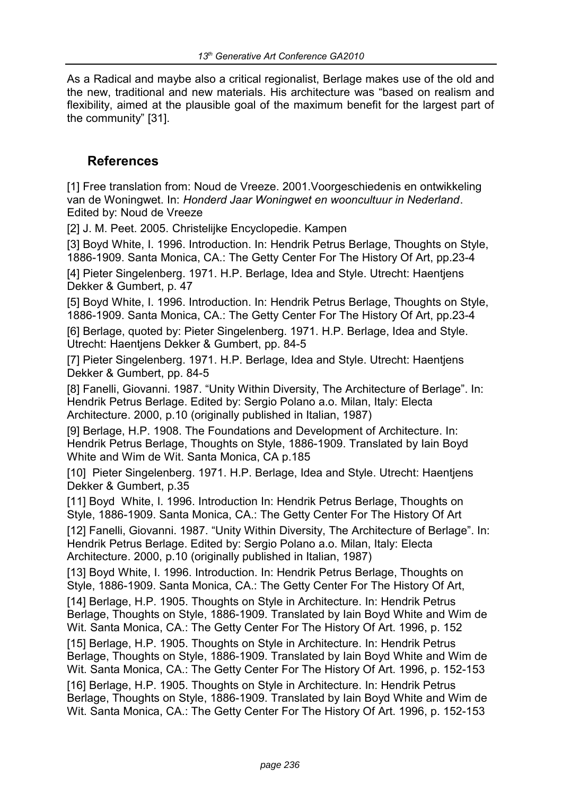As a Radical and maybe also a critical regionalist, Berlage makes use of the old and the new, traditional and new materials. His architecture was "based on realism and flexibility, aimed at the plausible goal of the maximum benefit for the largest part of the community" [31].

#### **References**

[1] Free translation from: Noud de Vreeze. 2001.Voorgeschiedenis en ontwikkeling van de Woningwet. In: *Honderd Jaar Woningwet en wooncultuur in Nederland*. Edited by: Noud de Vreeze

[2] J. M. Peet. 2005. Christelijke Encyclopedie. Kampen

[3] Boyd White, I. 1996. Introduction. In: Hendrik Petrus Berlage, Thoughts on Style, 1886-1909. Santa Monica, CA.: The Getty Center For The History Of Art, pp.23-4

[4] Pieter Singelenberg. 1971. H.P. Berlage, Idea and Style. Utrecht: Haentjens Dekker & Gumbert, p. 47

[5] Boyd White, I. 1996. Introduction. In: Hendrik Petrus Berlage, Thoughts on Style, 1886-1909. Santa Monica, CA.: The Getty Center For The History Of Art, pp.23-4 [6] Berlage, quoted by: Pieter Singelenberg. 1971. H.P. Berlage, Idea and Style. Utrecht: Haentjens Dekker & Gumbert, pp. 84-5

[7] Pieter Singelenberg. 1971. H.P. Berlage, Idea and Style. Utrecht: Haentjens Dekker & Gumbert, pp. 84-5

[8] Fanelli, Giovanni. 1987. "Unity Within Diversity, The Architecture of Berlage". In: Hendrik Petrus Berlage. Edited by: Sergio Polano a.o. Milan, Italy: Electa Architecture. 2000, p.10 (originally published in Italian, 1987)

[9] Berlage, H.P. 1908. The Foundations and Development of Architecture. In: Hendrik Petrus Berlage, Thoughts on Style, 1886-1909. Translated by Iain Boyd White and Wim de Wit. Santa Monica, CA p.185

[10] Pieter Singelenberg. 1971. H.P. Berlage, Idea and Style. Utrecht: Haentjens Dekker & Gumbert, p.35

[11] Boyd White, I. 1996. Introduction In: Hendrik Petrus Berlage, Thoughts on Style, 1886-1909. Santa Monica, CA.: The Getty Center For The History Of Art [12] Fanelli, Giovanni. 1987. "Unity Within Diversity, The Architecture of Berlage". In: Hendrik Petrus Berlage. Edited by: Sergio Polano a.o. Milan, Italy: Electa Architecture. 2000, p.10 (originally published in Italian, 1987)

[13] Boyd White, I. 1996. Introduction. In: Hendrik Petrus Berlage, Thoughts on Style, 1886-1909. Santa Monica, CA.: The Getty Center For The History Of Art, [14] Berlage, H.P. 1905. Thoughts on Style in Architecture. In: Hendrik Petrus Berlage, Thoughts on Style, 1886-1909. Translated by Iain Boyd White and Wim de Wit. Santa Monica, CA.: The Getty Center For The History Of Art. 1996, p. 152 [15] Berlage, H.P. 1905. Thoughts on Style in Architecture. In: Hendrik Petrus Berlage, Thoughts on Style, 1886-1909. Translated by Iain Boyd White and Wim de Wit. Santa Monica, CA.: The Getty Center For The History Of Art. 1996, p. 152-153 [16] Berlage, H.P. 1905. Thoughts on Style in Architecture. In: Hendrik Petrus Berlage, Thoughts on Style, 1886-1909. Translated by Iain Boyd White and Wim de Wit. Santa Monica, CA.: The Getty Center For The History Of Art. 1996, p. 152-153